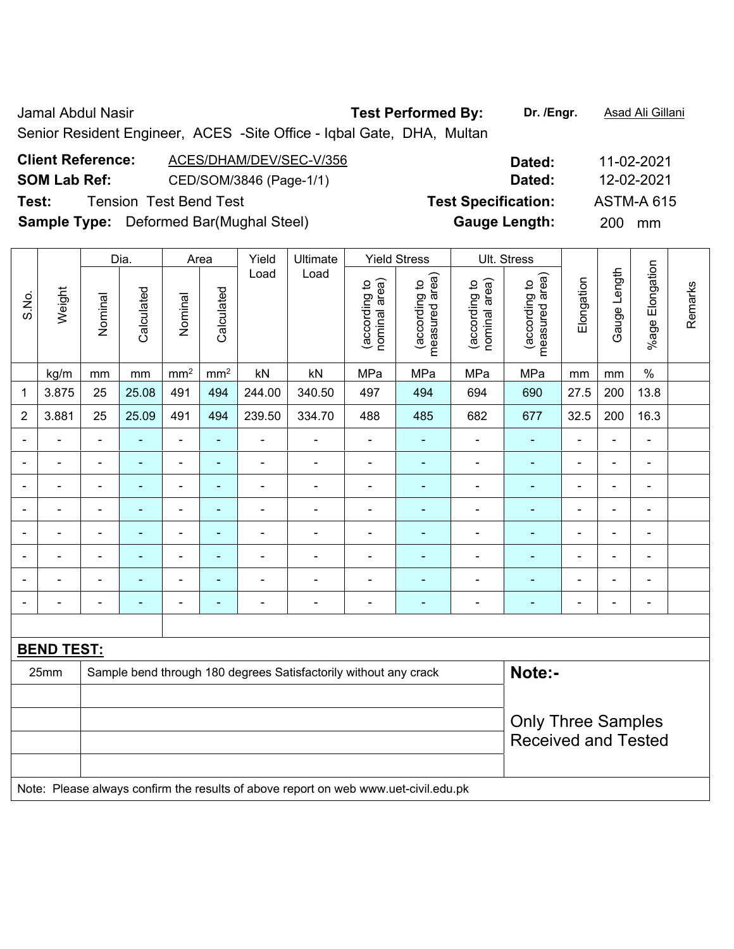Jamal Abdul Nasir **Test Performed By: Dr. /Engr.** Asad Ali Gillani Senior Resident Engineer, ACES -Site Office - Iqbal Gate, DHA, Multan **Client Reference:** ACES/DHAM/DEV/SEC-V/356 **Dated:** 11-02-2021

|                                                | batta.                     | 11-02-2021        |  |
|------------------------------------------------|----------------------------|-------------------|--|
| CED/SOM/3846 (Page-1/1)                        | Dated:                     | 12-02-2021        |  |
| <b>Tension Test Bend Test</b>                  | <b>Test Specification:</b> | <b>ASTM-A 615</b> |  |
| <b>Sample Type:</b> Deformed Bar(Mughal Steel) | <b>Gauge Length:</b>       | 200 mm            |  |
|                                                |                            |                   |  |

|                 |                   |                | Dia.                     |                 | Area            | Yield                    | Ultimate                                                         |                                | <b>Yield Stress</b>             |                                | Ult. Stress                                                        |                |                |                              |         |
|-----------------|-------------------|----------------|--------------------------|-----------------|-----------------|--------------------------|------------------------------------------------------------------|--------------------------------|---------------------------------|--------------------------------|--------------------------------------------------------------------|----------------|----------------|------------------------------|---------|
| S.No.           | Weight            | Nominal        | Calculated               | Nominal         | Calculated      | Load                     | Load                                                             | nominal area)<br>(according to | (according to<br>measured area) | nominal area)<br>(according to | (according to<br>measured area)                                    | Elongation     | Gauge Length   | %age Elongation              | Remarks |
|                 | kg/m              | mm             | mm                       | mm <sup>2</sup> | mm <sup>2</sup> | kN                       | kN                                                               | MPa                            | MPa                             | MPa                            | MPa                                                                | mm             | mm             | $\%$                         |         |
| 1               | 3.875             | 25             | 25.08                    | 491             | 494             | 244.00                   | 340.50                                                           | 497                            | 494                             | 694                            | 690                                                                | 27.5           | 200            | 13.8                         |         |
| $\overline{2}$  | 3.881             | 25             | 25.09                    | 491             | 494             | 239.50                   | 334.70                                                           | 488                            | 485                             | 682                            | 677                                                                | 32.5           | 200            | 16.3                         |         |
| $\blacksquare$  | $\blacksquare$    | $\blacksquare$ | ÷,                       | $\blacksquare$  | $\blacksquare$  | $\blacksquare$           | $\blacksquare$                                                   | ÷,                             | Ξ                               | ÷,                             | $\blacksquare$                                                     | $\blacksquare$ | ä,             | $\blacksquare$               |         |
|                 |                   |                | $\overline{\phantom{0}}$ | $\blacksquare$  | $\blacksquare$  | $\blacksquare$           |                                                                  |                                | ۰                               | $\blacksquare$                 | $\blacksquare$                                                     |                | $\blacksquare$ | $\blacksquare$               |         |
| $\blacksquare$  | $\blacksquare$    | $\blacksquare$ | $\blacksquare$           | ÷,              | $\blacksquare$  | $\blacksquare$           | $\blacksquare$                                                   | $\blacksquare$                 | ۰                               | ۰                              | $\blacksquare$                                                     | $\blacksquare$ | ä,             | $\blacksquare$               |         |
| $\blacksquare$  | $\blacksquare$    | $\blacksquare$ | $\blacksquare$           | $\blacksquare$  | $\blacksquare$  | $\blacksquare$           | $\blacksquare$                                                   | $\blacksquare$                 | ۰                               | $\blacksquare$                 | ä,<br>$\blacksquare$<br>$\overline{\phantom{a}}$<br>$\blacksquare$ |                |                |                              |         |
| ۰               | $\blacksquare$    | $\blacksquare$ | $\blacksquare$           | $\blacksquare$  | $\blacksquare$  | $\overline{\phantom{0}}$ |                                                                  | $\blacksquare$                 | ۰                               | ÷,                             | $\overline{\phantom{a}}$                                           | $\blacksquare$ | ä,             | $\blacksquare$               |         |
|                 |                   |                | $\blacksquare$           | ÷               | $\blacksquare$  |                          |                                                                  |                                | ۰                               | L,                             | $\blacksquare$                                                     |                | $\blacksquare$ | $\blacksquare$               |         |
|                 |                   |                | $\blacksquare$           | ÷               | ä,              | $\overline{\phantom{0}}$ |                                                                  |                                |                                 | ÷                              |                                                                    |                | $\blacksquare$ | $\blacksquare$               |         |
| ۰               |                   |                | ۰                        | ÷               | ÷               | $\overline{a}$           | $\blacksquare$                                                   | $\blacksquare$                 | ۰                               | ÷                              | $\blacksquare$                                                     | $\blacksquare$ | -              | $\qquad \qquad \blacksquare$ |         |
|                 |                   |                |                          |                 |                 |                          |                                                                  |                                |                                 |                                |                                                                    |                |                |                              |         |
|                 | <b>BEND TEST:</b> |                |                          |                 |                 |                          |                                                                  |                                |                                 |                                |                                                                    |                |                |                              |         |
|                 | 25mm              |                |                          |                 |                 |                          | Sample bend through 180 degrees Satisfactorily without any crack |                                |                                 |                                | Note:-                                                             |                |                |                              |         |
|                 |                   |                |                          |                 |                 |                          |                                                                  |                                |                                 |                                |                                                                    |                |                |                              |         |
|                 |                   |                |                          |                 |                 |                          |                                                                  |                                |                                 |                                | <b>Only Three Samples</b>                                          |                |                |                              |         |
|                 |                   |                |                          |                 |                 |                          |                                                                  |                                |                                 |                                | <b>Received and Tested</b>                                         |                |                |                              |         |
|                 |                   |                |                          |                 |                 |                          |                                                                  |                                |                                 |                                |                                                                    |                |                |                              |         |
| $\cdot$ $\cdot$ |                   |                |                          |                 |                 |                          |                                                                  |                                |                                 |                                |                                                                    |                |                |                              |         |

Note: Please always confirm the results of above report on web www.uet-civil.edu.pk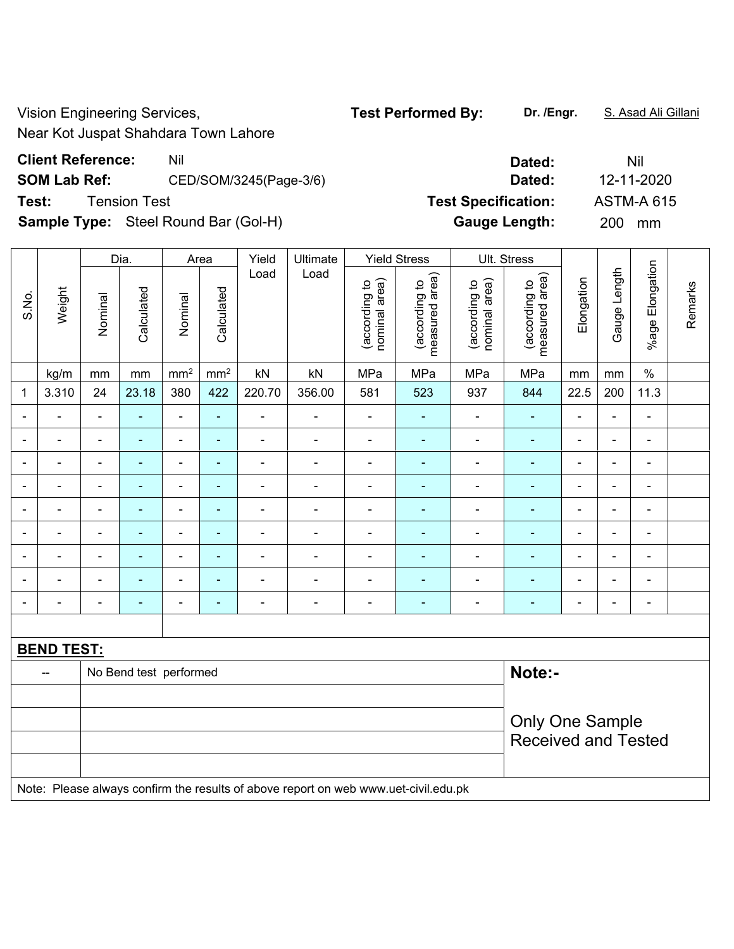Vision Engineering Services, **Test Performed By:** Dr. /Engr. **S. Asad Ali Gillani** Ali Gillani

Near Kot Juspat Shahdara Town Lahore

## **Client Reference:** Nil Nil **Dated:** Nil Nil **Dated:** Nil

**SOM Lab Ref:** CED/SOM/3245(Page-3/6) **Dated:** 12-11-2020

**Sample Type:** Steel Round Bar (Gol-H) **Gauge Length:** 200 mm

|       |                          |                          | Dia.                   |                 | Area                     | Yield          | Ultimate                                                                            |                                | <b>Yield Stress</b>             |                                | Ult. Stress                        |                |                |                              |         |
|-------|--------------------------|--------------------------|------------------------|-----------------|--------------------------|----------------|-------------------------------------------------------------------------------------|--------------------------------|---------------------------------|--------------------------------|------------------------------------|----------------|----------------|------------------------------|---------|
| S.No. | Weight                   | Nominal                  | Calculated             | Nominal         | Calculated               | Load           | Load                                                                                | nominal area)<br>(according to | measured area)<br>(according to | nominal area)<br>(according to | area)<br>(according to<br>measured | Elongation     | Gauge Length   | %age Elongation              | Remarks |
|       | kg/m                     | mm                       | mm                     | mm <sup>2</sup> | mm <sup>2</sup>          | kN             | kN                                                                                  | MPa                            | MPa                             | MPa                            | MPa                                | mm             | mm             | $\%$                         |         |
| 1     | 3.310                    | 24                       | 23.18                  | 380             | 422                      | 220.70         | 356.00                                                                              | 581                            | 523                             | 937                            | 844                                | 22.5           | 200            | 11.3                         |         |
| ۰     |                          | $\blacksquare$           | ä,                     | ä,              | ä,                       | ÷,             | ÷,                                                                                  | $\blacksquare$                 | $\blacksquare$                  | ä,                             | ä,                                 | $\blacksquare$ | $\blacksquare$ | $\qquad \qquad \blacksquare$ |         |
| ۰     |                          | $\blacksquare$           | $\blacksquare$         | $\blacksquare$  | $\blacksquare$           | $\blacksquare$ | $\blacksquare$                                                                      | $\blacksquare$                 | $\blacksquare$                  | ÷,                             | $\blacksquare$                     | $\blacksquare$ | $\blacksquare$ | -                            |         |
| ۰     | $\blacksquare$           | $\blacksquare$           | $\sim$                 | $\blacksquare$  | ٠                        | $\blacksquare$ | ÷,                                                                                  | $\blacksquare$                 | $\blacksquare$                  | $\blacksquare$                 | $\blacksquare$                     | $\blacksquare$ | $\blacksquare$ | $\blacksquare$               |         |
| ۰     | $\blacksquare$           | $\blacksquare$           | ä,                     | $\blacksquare$  | ä,                       | $\blacksquare$ | ÷,                                                                                  | $\blacksquare$                 | ٠                               | ä,                             | $\blacksquare$                     | $\blacksquare$ | $\blacksquare$ | $\overline{\phantom{a}}$     |         |
| ۰     | $\blacksquare$           | $\overline{\phantom{a}}$ | $\blacksquare$         | $\blacksquare$  | ÷                        | $\blacksquare$ | ÷,                                                                                  | $\overline{\phantom{a}}$       | $\blacksquare$                  | ÷                              | $\blacksquare$                     | $\blacksquare$ | $\blacksquare$ | -                            |         |
|       |                          | $\blacksquare$           | $\blacksquare$         | $\blacksquare$  | ۰                        |                | $\blacksquare$                                                                      | $\blacksquare$                 | ۳                               | $\blacksquare$                 | ÷,                                 |                | $\blacksquare$ |                              |         |
|       |                          |                          |                        | $\blacksquare$  | ÷                        |                | $\overline{\phantom{0}}$                                                            |                                | ۳                               | ۰                              | $\overline{\phantom{a}}$           |                | $\blacksquare$ | $\blacksquare$               |         |
|       |                          |                          | $\blacksquare$         | ÷               | $\overline{\phantom{a}}$ |                | $\blacksquare$                                                                      |                                | ۳                               |                                |                                    |                | $\blacksquare$ | -                            |         |
| ۰     |                          | $\blacksquare$           | ä,                     | $\blacksquare$  | ÷                        | $\blacksquare$ | $\blacksquare$                                                                      | $\blacksquare$                 | ä,                              | ÷                              | $\blacksquare$                     | $\blacksquare$ | $\overline{a}$ | -                            |         |
|       |                          |                          |                        |                 |                          |                |                                                                                     |                                |                                 |                                |                                    |                |                |                              |         |
|       | <b>BEND TEST:</b>        |                          |                        |                 |                          |                |                                                                                     |                                |                                 |                                |                                    |                |                |                              |         |
|       | $\overline{\phantom{a}}$ |                          | No Bend test performed |                 |                          |                |                                                                                     |                                |                                 |                                | Note:-                             |                |                |                              |         |
|       |                          |                          |                        |                 |                          |                |                                                                                     |                                |                                 |                                |                                    |                |                |                              |         |
|       |                          |                          |                        |                 |                          |                |                                                                                     |                                |                                 |                                | <b>Only One Sample</b>             |                |                |                              |         |
|       |                          |                          |                        |                 |                          |                |                                                                                     |                                |                                 |                                | <b>Received and Tested</b>         |                |                |                              |         |
|       |                          |                          |                        |                 |                          |                |                                                                                     |                                |                                 |                                |                                    |                |                |                              |         |
|       |                          |                          |                        |                 |                          |                | Note: Please always confirm the results of above report on web www.uet-civil.edu.pk |                                |                                 |                                |                                    |                |                |                              |         |

**Test:** Tension Test **Test Specification:** ASTM-A 615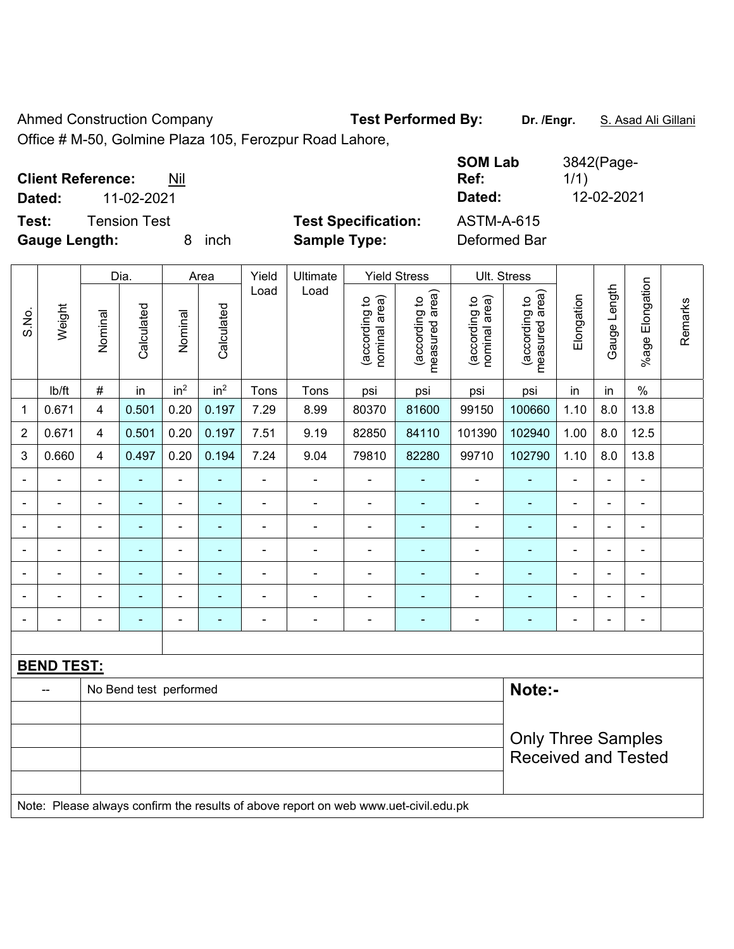Ahmed Construction Company **Test Performed By:** Dr. /Engr. **S. Asad Ali Gillani** 

Office # M-50, Golmine Plaza 105, Ferozpur Road Lahore,

| <b>Client Reference:</b><br>11-02-2021<br>Dated: | Nil |      |                            | <b>SOM Lab</b><br>Ref:<br>Dated: | 3842(Page-<br>1/1)<br>12-02-2021 |
|--------------------------------------------------|-----|------|----------------------------|----------------------------------|----------------------------------|
| Test:<br>Tension Test                            |     |      | <b>Test Specification:</b> | <b>ASTM-A-615</b>                |                                  |
| <b>Gauge Length:</b>                             |     | inch | <b>Sample Type:</b>        | Deformed Bar                     |                                  |

|                |                   | Dia.<br>Area   |                        |                 | Yield<br>Ultimate        |                |                                                                                     | <b>Yield Stress</b>            |                                 | Ult. Stress                    |                                 |                |                |                              |         |
|----------------|-------------------|----------------|------------------------|-----------------|--------------------------|----------------|-------------------------------------------------------------------------------------|--------------------------------|---------------------------------|--------------------------------|---------------------------------|----------------|----------------|------------------------------|---------|
| S.No.          | Weight            | Nominal        | Calculated             | Nominal         | Calculated               | Load           | Load                                                                                | nominal area)<br>(according to | (according to<br>measured area) | nominal area)<br>(according to | (according to<br>measured area) | Elongation     | Gauge Length   | Elongation<br>%age I         | Remarks |
|                | Ib/ft             | $\#$           | in                     | in <sup>2</sup> | in <sup>2</sup>          | Tons           | Tons                                                                                | psi                            | psi                             | psi                            | psi                             | in             | in             | $\frac{0}{0}$                |         |
| 1              | 0.671             | 4              | 0.501                  | 0.20            | 0.197                    | 7.29           | 8.99                                                                                | 80370                          | 81600                           | 99150                          | 100660                          | 1.10           | 8.0            | 13.8                         |         |
| $\overline{2}$ | 0.671             | 4              | 0.501                  | 0.20            | 0.197                    | 7.51           | 9.19                                                                                | 82850                          | 84110                           | 101390                         | 102940                          | 1.00           | 8.0            | 12.5                         |         |
| 3              | 0.660             | 4              | 0.497                  | 0.20            | 0.194                    | 7.24           | 9.04                                                                                | 79810                          | 82280                           | 99710                          | 102790                          | 1.10           | 8.0            | 13.8                         |         |
|                |                   | $\blacksquare$ | ÷,                     | $\blacksquare$  | $\blacksquare$           | $\blacksquare$ | $\blacksquare$                                                                      | $\blacksquare$                 | ÷                               | $\blacksquare$                 | ÷                               | $\blacksquare$ | $\blacksquare$ | $\blacksquare$               |         |
|                |                   | $\blacksquare$ | ÷,                     | $\blacksquare$  | $\blacksquare$           | $\blacksquare$ | $\blacksquare$                                                                      | $\blacksquare$                 | $\blacksquare$                  | $\blacksquare$                 | ٠                               | ÷,             | $\blacksquare$ | $\blacksquare$               |         |
|                | $\blacksquare$    | $\blacksquare$ | ÷,                     | $\blacksquare$  | $\blacksquare$           | $\blacksquare$ | $\frac{1}{2}$                                                                       | $\blacksquare$                 | ÷                               | $\blacksquare$                 | ÷                               | $\blacksquare$ | $\blacksquare$ | $\blacksquare$               |         |
|                |                   | Ē,             | $\blacksquare$         | $\blacksquare$  |                          |                | ÷                                                                                   |                                |                                 | $\blacksquare$                 | ÷                               |                |                | $\blacksquare$               |         |
|                |                   | ٠              |                        | ۰               |                          |                |                                                                                     |                                |                                 |                                | ÷                               |                |                | $\blacksquare$               |         |
|                |                   |                |                        | ÷               |                          |                | ÷                                                                                   |                                |                                 | $\blacksquare$                 |                                 | $\overline{a}$ |                |                              |         |
| -              |                   | $\blacksquare$ | $\blacksquare$         | $\blacksquare$  | $\overline{\phantom{a}}$ | $\blacksquare$ | ÷                                                                                   | $\qquad \qquad \blacksquare$   | ۰                               | $\overline{\phantom{0}}$       | $\overline{a}$                  | $\blacksquare$ | $\blacksquare$ | $\qquad \qquad \blacksquare$ |         |
|                |                   |                |                        |                 |                          |                |                                                                                     |                                |                                 |                                |                                 |                |                |                              |         |
|                | <b>BEND TEST:</b> |                |                        |                 |                          |                |                                                                                     |                                |                                 |                                |                                 |                |                |                              |         |
|                | --                |                | No Bend test performed |                 |                          |                |                                                                                     |                                |                                 |                                | Note:-                          |                |                |                              |         |
|                |                   |                |                        |                 |                          |                |                                                                                     |                                |                                 |                                |                                 |                |                |                              |         |
|                |                   |                |                        |                 |                          |                |                                                                                     |                                |                                 |                                | <b>Only Three Samples</b>       |                |                |                              |         |
|                |                   |                |                        |                 |                          |                |                                                                                     |                                |                                 |                                | <b>Received and Tested</b>      |                |                |                              |         |
|                |                   |                |                        |                 |                          |                |                                                                                     |                                |                                 |                                |                                 |                |                |                              |         |
|                |                   |                |                        |                 |                          |                | Note: Please always confirm the results of above report on web www.uet-civil.edu.pk |                                |                                 |                                |                                 |                |                |                              |         |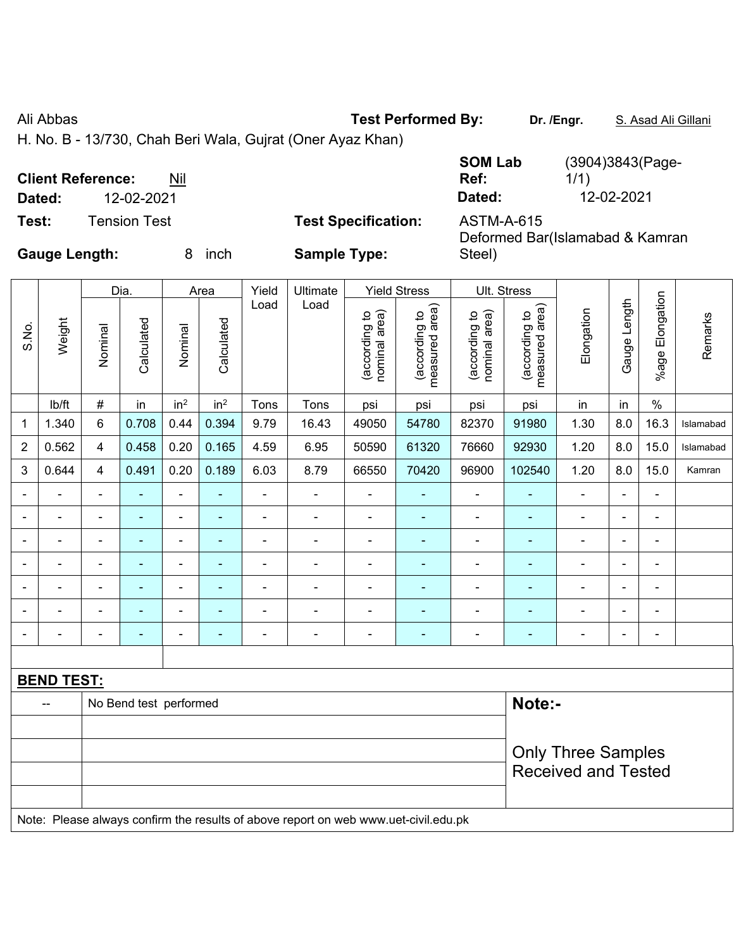Ali Abbas **Test Performed By:** Dr. /Engr. **S. Asad Ali Gillani** Ali Abbas **Dr. /Engr. S. Asad Ali Gillani** 

H. No. B - 13/730, Chah Beri Wala, Gujrat (Oner Ayaz Khan)

| <b>Client Reference:</b><br>Dated: | 12-02-2021   | Nil       |                            | <b>SOM Lab</b><br>Ref:<br>Dated: | (3904)3843(Page-<br>1/1)<br>12-02-2021 |
|------------------------------------|--------------|-----------|----------------------------|----------------------------------|----------------------------------------|
| Test:                              | Tension Test |           | <b>Test Specification:</b> | <b>ASTM-A-615</b>                |                                        |
| <b>Gauge Length:</b>               |              | inch<br>x | <b>Sample Type:</b>        | Steel)                           | Deformed Bar(Islamabad & Kamran        |

|                 |                |                          | Dia.           |                 | Area                     | Yield                    | Ultimate                       |                                 | <b>Yield Stress</b>            |                                 | Ult. Stress |                          |                 |                |           |
|-----------------|----------------|--------------------------|----------------|-----------------|--------------------------|--------------------------|--------------------------------|---------------------------------|--------------------------------|---------------------------------|-------------|--------------------------|-----------------|----------------|-----------|
| Weight<br>S.No. | Nominal        | Calculated               | Nominal        | Calculated      | Load                     | Load                     | nominal area)<br>(according to | measured area)<br>(according to | nominal area)<br>(according to | measured area)<br>(according to | Elongation  | Length<br>Gauge          | %age Elongation | Remarks        |           |
|                 | lb/ft          | $\#$                     | in             | in <sup>2</sup> | in <sup>2</sup>          | Tons                     | Tons                           | psi                             | psi                            | psi                             | psi         | in                       | in              | $\%$           |           |
| $\mathbf{1}$    | 1.340          | 6                        | 0.708          | 0.44            | 0.394                    | 9.79                     | 16.43                          | 49050                           | 54780                          | 82370                           | 91980       | 1.30                     | 8.0             | 16.3           | Islamabad |
| $\overline{2}$  | 0.562          | 4                        | 0.458          | 0.20            | 0.165                    | 4.59                     | 6.95                           | 50590                           | 61320                          | 76660                           | 92930       | 1.20                     | 8.0             | 15.0           | Islamabad |
| 3               | 0.644          | 4                        | 0.491          | 0.20            | 0.189                    | 6.03                     | 8.79                           | 66550                           | 70420                          | 96900                           | 102540      | 1.20                     | 8.0             | 15.0           | Kamran    |
|                 |                | -                        |                | -               | $\overline{\phantom{0}}$ |                          |                                |                                 |                                | -                               |             | $\overline{\phantom{0}}$ | ۰.              | $\blacksquare$ |           |
|                 | $\blacksquare$ | $\overline{\phantom{0}}$ | $\blacksquare$ | $\blacksquare$  | $\overline{\phantom{0}}$ | $\overline{\phantom{0}}$ | -                              | -                               | $\overline{\phantom{0}}$       | -                               |             | $\overline{\phantom{0}}$ | $\blacksquare$  | $\blacksquare$ |           |
|                 |                |                          |                | -               | $\blacksquare$           |                          |                                |                                 |                                | -                               |             |                          | $\blacksquare$  | ۰              |           |
|                 |                |                          |                | -               | $\blacksquare$           |                          |                                |                                 |                                | -                               |             | $\blacksquare$           | -               | $\blacksquare$ |           |
|                 |                |                          |                | -               |                          |                          |                                |                                 |                                | -                               |             |                          | -               | $\blacksquare$ |           |
|                 |                | $\overline{\phantom{0}}$ | $\blacksquare$ | -               | $\blacksquare$           | $\overline{\phantom{0}}$ |                                | $\blacksquare$                  | $\overline{\phantom{0}}$       | ۰                               |             | $\blacksquare$           | $\blacksquare$  | $\blacksquare$ |           |
|                 | $\blacksquare$ | $\blacksquare$           |                | -               | $\blacksquare$           | $\blacksquare$           | $\blacksquare$                 | $\blacksquare$                  | ٠                              | $\overline{\phantom{0}}$        |             | $\blacksquare$           | -               | $\blacksquare$ |           |
|                 |                |                          |                |                 |                          |                          |                                |                                 |                                |                                 |             |                          |                 |                |           |

| <b>BEND TEST:</b> |                                                                                     |                            |  |  |  |  |  |  |  |  |
|-------------------|-------------------------------------------------------------------------------------|----------------------------|--|--|--|--|--|--|--|--|
| $\sim$ $\sim$     | No Bend test performed                                                              | Note:-                     |  |  |  |  |  |  |  |  |
|                   |                                                                                     |                            |  |  |  |  |  |  |  |  |
|                   |                                                                                     | <b>Only Three Samples</b>  |  |  |  |  |  |  |  |  |
|                   |                                                                                     | <b>Received and Tested</b> |  |  |  |  |  |  |  |  |
|                   |                                                                                     |                            |  |  |  |  |  |  |  |  |
|                   | Note: Please always confirm the results of above report on web www.uet-civil.edu.pk |                            |  |  |  |  |  |  |  |  |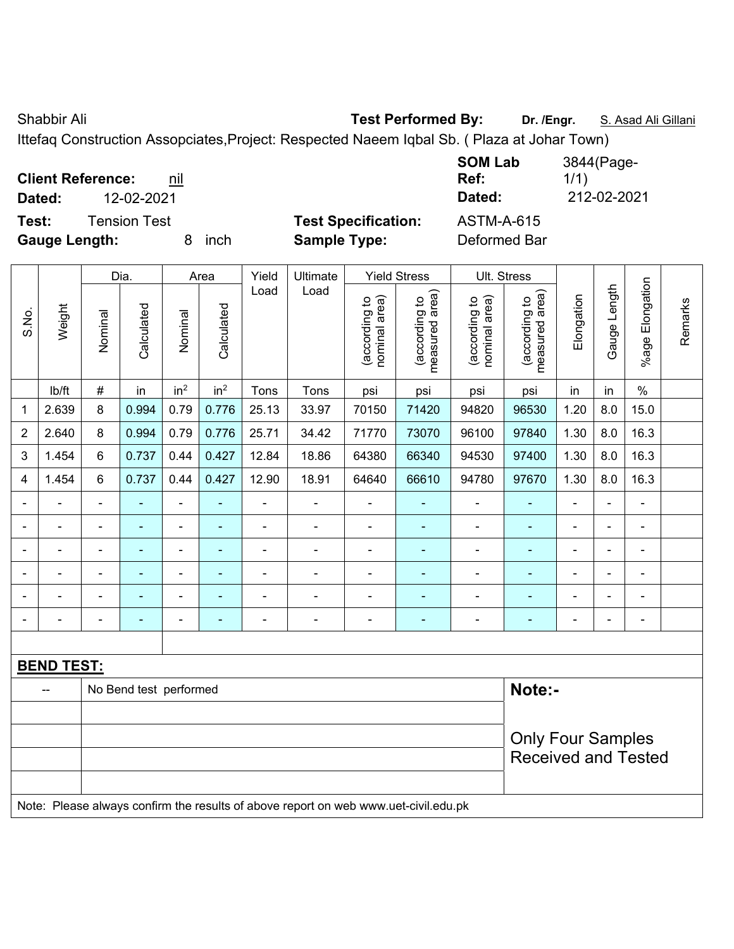Shabbir Ali **Test Performed By:** Dr. /Engr. **S. Asad Ali Gillani** Chabbir Ali Gillani

Ittefaq Construction Assopciates,Project: Respected Naeem Iqbal Sb. ( Plaza at Johar Town)

| <b>Client Reference:</b><br>nil<br>12-02-2021<br>Dated: |                                                   | <b>SOM Lab</b><br>Ref:<br>Dated:  | 3844(Page-<br>1/1)<br>212-02-2021 |
|---------------------------------------------------------|---------------------------------------------------|-----------------------------------|-----------------------------------|
| Test:<br>Tension Test<br><b>Gauge Length:</b><br>inch   | <b>Test Specification:</b><br><b>Sample Type:</b> | <b>ASTM-A-615</b><br>Deformed Bar |                                   |

|                |                   |                | Dia.<br>Area           |                 |                          | Yield<br>Ultimate |                                                                                     |                                | <b>Yield Stress</b>             |                                | Ult. Stress                                              |                          |                |                 |         |
|----------------|-------------------|----------------|------------------------|-----------------|--------------------------|-------------------|-------------------------------------------------------------------------------------|--------------------------------|---------------------------------|--------------------------------|----------------------------------------------------------|--------------------------|----------------|-----------------|---------|
| S.No.          | Weight            | Nominal        | Calculated             | Nominal         | Calculated               | Load              | Load                                                                                | nominal area)<br>(according to | measured area)<br>(according to | nominal area)<br>(according to | measured area)<br>(according to                          | Elongation               | Gauge Length   | %age Elongation | Remarks |
|                | lb/ft             | $\#$           | in                     | in <sup>2</sup> | in <sup>2</sup>          | Tons              | Tons                                                                                | psi                            | psi                             | psi                            | psi                                                      | in                       | in             | $\%$            |         |
| 1              | 2.639             | 8              | 0.994                  | 0.79            | 0.776                    | 25.13             | 33.97                                                                               | 70150                          | 71420                           | 94820                          | 96530                                                    | 1.20                     | 8.0            | 15.0            |         |
| $\overline{2}$ | 2.640             | 8              | 0.994                  | 0.79            | 0.776                    | 25.71             | 34.42                                                                               | 71770                          | 73070                           | 96100                          | 97840                                                    | 1.30                     | 8.0            | 16.3            |         |
| 3              | 1.454             | 6              | 0.737                  | 0.44            | 0.427                    | 12.84             | 18.86                                                                               | 64380                          | 66340                           | 94530                          | 97400                                                    | 1.30                     | 8.0            | 16.3            |         |
| 4              | 1.454             | 6              | 0.737                  | 0.44            | 0.427                    | 12.90             | 18.91                                                                               | 64640                          | 66610                           | 94780                          | 97670                                                    | 1.30                     | 8.0            | 16.3            |         |
|                | $\blacksquare$    | $\blacksquare$ | $\blacksquare$         | $\blacksquare$  | $\blacksquare$           | $\blacksquare$    | $\blacksquare$                                                                      | $\blacksquare$                 | $\blacksquare$                  | $\blacksquare$                 | $\blacksquare$                                           | $\overline{\phantom{a}}$ | $\blacksquare$ | ÷,              |         |
|                | $\blacksquare$    | $\blacksquare$ | $\blacksquare$         | $\blacksquare$  | $\blacksquare$           | $\blacksquare$    | $\blacksquare$                                                                      | $\blacksquare$                 | $\blacksquare$                  | $\blacksquare$                 | $\blacksquare$<br>$\blacksquare$<br>÷,<br>$\blacksquare$ |                          |                |                 |         |
| $\blacksquare$ | $\blacksquare$    | $\blacksquare$ | $\blacksquare$         | $\blacksquare$  | $\blacksquare$           | ä,                | $\blacksquare$                                                                      | $\blacksquare$                 | $\blacksquare$                  | $\blacksquare$                 | $\blacksquare$                                           | $\blacksquare$           | $\blacksquare$ | $\blacksquare$  |         |
|                |                   |                | $\blacksquare$         | $\blacksquare$  | ٠                        | $\blacksquare$    | ä,                                                                                  | $\blacksquare$                 | ä,                              | ä,                             | $\blacksquare$                                           |                          | $\blacksquare$ | $\blacksquare$  |         |
|                |                   |                |                        | $\blacksquare$  |                          |                   | $\blacksquare$                                                                      | $\blacksquare$                 | $\blacksquare$                  | ۳                              | $\blacksquare$                                           |                          |                | $\blacksquare$  |         |
|                |                   | $\blacksquare$ |                        | $\blacksquare$  | $\overline{\phantom{a}}$ |                   | ÷                                                                                   | ä,                             | ÷                               | ۰                              |                                                          | $\blacksquare$           | $\blacksquare$ | ۰               |         |
|                |                   |                |                        |                 |                          |                   |                                                                                     |                                |                                 |                                |                                                          |                          |                |                 |         |
|                | <b>BEND TEST:</b> |                |                        |                 |                          |                   |                                                                                     |                                |                                 |                                |                                                          |                          |                |                 |         |
|                |                   |                | No Bend test performed |                 |                          |                   |                                                                                     |                                |                                 |                                | Note:-                                                   |                          |                |                 |         |
|                |                   |                |                        |                 |                          |                   |                                                                                     |                                |                                 |                                |                                                          |                          |                |                 |         |
|                |                   |                |                        |                 |                          |                   |                                                                                     |                                |                                 |                                | <b>Only Four Samples</b>                                 |                          |                |                 |         |
|                |                   |                |                        |                 |                          |                   |                                                                                     |                                |                                 |                                | <b>Received and Tested</b>                               |                          |                |                 |         |
|                |                   |                |                        |                 |                          |                   |                                                                                     |                                |                                 |                                |                                                          |                          |                |                 |         |
|                |                   |                |                        |                 |                          |                   | Note: Please always confirm the results of above report on web www.uet-civil.edu.pk |                                |                                 |                                |                                                          |                          |                |                 |         |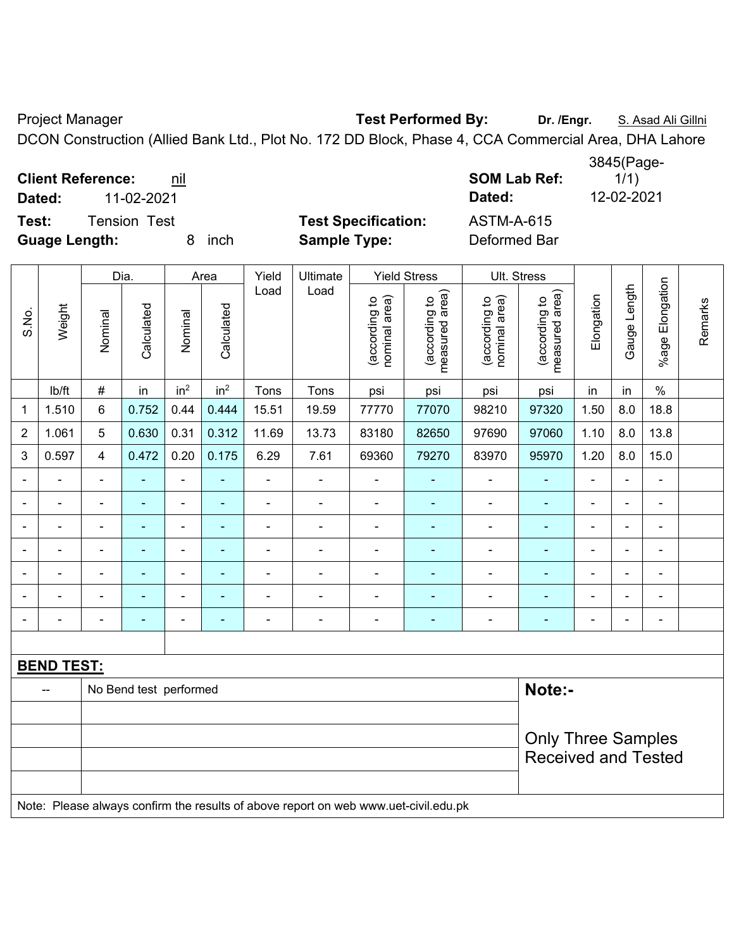Project Manager **Test Performed By:** Dr. /Engr. **S. Asad Ali Gillni** 

DCON Construction (Allied Bank Ltd., Plot No. 172 DD Block, Phase 4, CCA Commercial Area, DHA Lahore

**Client Reference:** <u>nil</u> **Note 2 SOM Lab Ref: SOM Lab Ref: SOM** 

**Test:** Tension Test **Test Specification:** ASTM-A-615

**Guage Length:** 8 inch **Sample Type:** Deformed Bar

**Dated:** 11-02-2021 **Dated:** 12-02-2021

|                |                   |                | Dia.                   |                 | Area            | Yield                    | Ultimate                 |                                | <b>Yield Stress</b>                                                                 |                                | Ult. Stress                     |                |                |                          |         |
|----------------|-------------------|----------------|------------------------|-----------------|-----------------|--------------------------|--------------------------|--------------------------------|-------------------------------------------------------------------------------------|--------------------------------|---------------------------------|----------------|----------------|--------------------------|---------|
| S.No.          | Weight            | Nominal        | Calculated             | Nominal         | Calculated      | Load                     | Load                     | nominal area)<br>(according to | (according to<br>measured area)                                                     | nominal area)<br>(according to | (according to<br>measured area) | Elongation     | Gauge Length   | Elongation<br>$%$ age    | Remarks |
|                | lb/ft             | $\#$           | in                     | in <sup>2</sup> | in <sup>2</sup> | Tons                     | Tons                     | psi                            | psi                                                                                 | psi                            | psi                             | in             | in             | $\%$                     |         |
| $\mathbf 1$    | 1.510             | 6              | 0.752                  | 0.44            | 0.444           | 15.51                    | 19.59                    | 77770                          | 77070                                                                               | 98210                          | 97320                           | 1.50           | 8.0            | 18.8                     |         |
| $\overline{2}$ | 1.061             | 5              | 0.630                  | 0.31            | 0.312           | 11.69                    | 13.73                    | 83180                          | 82650                                                                               | 97690                          | 97060                           | 1.10           | 8.0            | 13.8                     |         |
| 3              | 0.597             | $\overline{4}$ | 0.472                  | 0.20            | 0.175           | 6.29                     | 7.61                     | 69360                          | 79270                                                                               | 83970                          | 95970                           | 1.20           | 8.0            | 15.0                     |         |
|                |                   |                |                        | ä,              | $\blacksquare$  | ä,                       | $\blacksquare$           | $\blacksquare$                 |                                                                                     | ÷                              | $\blacksquare$                  |                | $\blacksquare$ | $\blacksquare$           |         |
| $\blacksquare$ |                   | $\blacksquare$ | $\blacksquare$         | ۰               | $\blacksquare$  | ä,                       | $\blacksquare$           | $\blacksquare$                 | $\blacksquare$                                                                      | $\overline{\phantom{a}}$       | $\blacksquare$                  | $\blacksquare$ | $\blacksquare$ | $\blacksquare$           |         |
|                |                   | $\blacksquare$ | ٠                      | ÷               | $\blacksquare$  | $\blacksquare$           | $\blacksquare$           | $\blacksquare$                 | $\overline{\phantom{0}}$                                                            | $\overline{\phantom{a}}$       | $\blacksquare$                  | $\blacksquare$ |                | $\overline{\phantom{a}}$ |         |
|                | $\blacksquare$    | ä,             | ÷                      | $\blacksquare$  | $\blacksquare$  | ä,                       | $\blacksquare$           | $\blacksquare$                 | $\frac{1}{2}$                                                                       | $\overline{\phantom{0}}$       | $\blacksquare$                  | $\blacksquare$ |                | $\blacksquare$           |         |
|                |                   | $\blacksquare$ | $\blacksquare$         | ÷               |                 | Ē,                       | ÷                        | $\blacksquare$                 | $\blacksquare$                                                                      | ÷                              |                                 |                |                | $\blacksquare$           |         |
|                |                   |                |                        | -               |                 |                          | $\blacksquare$           | $\blacksquare$                 | ۰                                                                                   | ۰                              |                                 |                |                | ÷.                       |         |
| $\blacksquare$ |                   | $\blacksquare$ | ٠                      | ۰               | $\blacksquare$  | $\overline{\phantom{0}}$ | $\overline{\phantom{0}}$ | $\blacksquare$                 | ۰                                                                                   | ÷                              | $\blacksquare$                  | $\blacksquare$ |                | $\blacksquare$           |         |
|                |                   |                |                        |                 |                 |                          |                          |                                |                                                                                     |                                |                                 |                |                |                          |         |
|                | <b>BEND TEST:</b> |                |                        |                 |                 |                          |                          |                                |                                                                                     |                                |                                 |                |                |                          |         |
|                | $\overline{a}$    |                | No Bend test performed |                 |                 |                          |                          |                                |                                                                                     |                                | Note:-                          |                |                |                          |         |
|                |                   |                |                        |                 |                 |                          |                          |                                |                                                                                     |                                |                                 |                |                |                          |         |
|                |                   |                |                        |                 |                 |                          |                          |                                |                                                                                     |                                | <b>Only Three Samples</b>       |                |                |                          |         |
|                |                   |                |                        |                 |                 |                          |                          |                                |                                                                                     |                                | <b>Received and Tested</b>      |                |                |                          |         |
|                |                   |                |                        |                 |                 |                          |                          |                                |                                                                                     |                                |                                 |                |                |                          |         |
|                |                   |                |                        |                 |                 |                          |                          |                                | Note: Please always confirm the results of above report on web www.uet-civil.edu.pk |                                |                                 |                |                |                          |         |

3845(Page- $1/1)$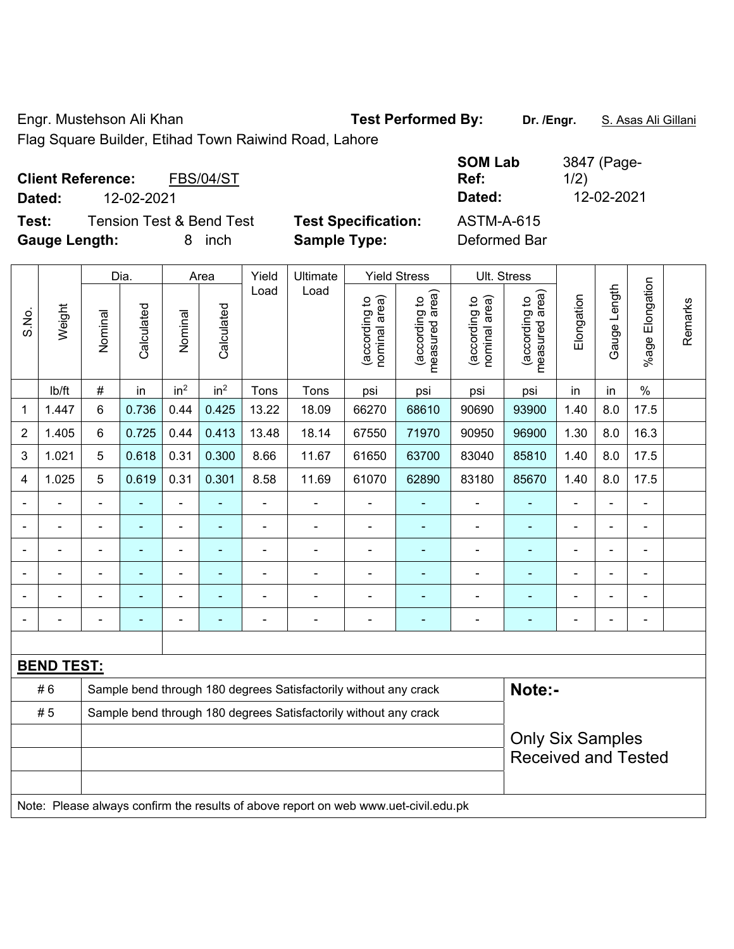Engr. Mustehson Ali Khan **Test Performed By:** Dr. /Engr. S. Asas Ali Gillani

Flag Square Builder, Etihad Town Raiwind Road, Lahore

| <b>Client Reference:</b><br><b>FBS/04/ST</b> | <b>SOM Lab</b><br>Ref:<br>Dated:                | 3847 (Page-<br>1/2)<br>12-02-2021 |
|----------------------------------------------|-------------------------------------------------|-----------------------------------|
| 12-02-2021<br>Dated:                         |                                                 |                                   |
| <b>Tension Test &amp; Bend Test</b><br>Test: | <b>Test Specification:</b><br><b>ASTM-A-615</b> |                                   |
| <b>Gauge Length:</b><br>inch<br>8.           | <b>Sample Type:</b><br>Deformed Bar             |                                   |

|                                                                        | Weight                                                                              | Dia.           |                | Area            |                          | Yield          | Ultimate       | <b>Yield Stress</b>            |                                 |                                                       | <b>Ult. Stress</b>              |                |                |                       |         |
|------------------------------------------------------------------------|-------------------------------------------------------------------------------------|----------------|----------------|-----------------|--------------------------|----------------|----------------|--------------------------------|---------------------------------|-------------------------------------------------------|---------------------------------|----------------|----------------|-----------------------|---------|
| S.No.                                                                  |                                                                                     | Nominal        | Calculated     | Nominal         | Calculated               | Load           | Load           | nominal area)<br>(according to | (according to<br>measured area) | nominal area)<br>(according to                        | measured area)<br>(according to | Elongation     | Gauge Length   | Elongation<br>$%$ age | Remarks |
|                                                                        | lb/ft                                                                               | #              | in             | in <sup>2</sup> | in <sup>2</sup>          | Tons           | Tons           | psi                            | psi                             | psi                                                   | psi                             | in             | in             | $\%$                  |         |
| 1                                                                      | 1.447                                                                               | 6              | 0.736          | 0.44            | 0.425                    | 13.22          | 18.09          | 66270                          | 68610                           | 90690                                                 | 93900                           | 1.40           | 8.0            | 17.5                  |         |
| $\overline{2}$                                                         | 1.405                                                                               | 6              | 0.725          | 0.44            | 0.413                    | 13.48          | 18.14          | 67550                          | 71970                           | 90950                                                 | 96900                           | 1.30           | 8.0            | 16.3                  |         |
| 3                                                                      | 1.021                                                                               | 5              | 0.618          | 0.31            | 0.300                    | 8.66           | 11.67          | 61650                          | 63700                           | 83040                                                 | 85810                           | 1.40           | 8.0            | 17.5                  |         |
| 4                                                                      | 1.025                                                                               | 5              | 0.619          | 0.31            | 0.301                    | 8.58           | 11.69          | 61070                          | 62890                           | 83180                                                 | 85670                           | 1.40           | 8.0            | 17.5                  |         |
|                                                                        | ÷.                                                                                  | $\blacksquare$ | ä,             | $\blacksquare$  | ÷,                       | $\blacksquare$ | ä,             | $\overline{\phantom{a}}$       | ÷                               | ÷,                                                    | $\blacksquare$                  | $\blacksquare$ | $\blacksquare$ | $\blacksquare$        |         |
|                                                                        |                                                                                     |                | Ē,             | $\blacksquare$  | $\overline{\phantom{a}}$ | Ē,             | ÷              | $\blacksquare$                 | ÷                               | $\blacksquare$                                        | ä,                              |                | ä,             | $\blacksquare$        |         |
|                                                                        |                                                                                     |                | ۰              | $\blacksquare$  |                          |                | $\blacksquare$ | $\blacksquare$                 | $\blacksquare$                  | ۰                                                     | $\overline{a}$                  |                |                |                       |         |
|                                                                        |                                                                                     |                |                | ÷               |                          |                | ÷              | $\blacksquare$                 | ÷                               | ۰                                                     |                                 |                |                |                       |         |
|                                                                        |                                                                                     | $\blacksquare$ |                | $\blacksquare$  |                          |                | ÷              | $\blacksquare$                 | ۰                               | $\blacksquare$                                        | ä,                              |                |                | $\blacksquare$        |         |
| $\overline{\phantom{0}}$                                               |                                                                                     | $\blacksquare$ | $\blacksquare$ | $\blacksquare$  | $\blacksquare$           | ٠              | $\blacksquare$ | $\blacksquare$                 | ۰                               | $\qquad \qquad \blacksquare$                          | $\blacksquare$                  | $\overline{a}$ | $\blacksquare$ | $\blacksquare$        |         |
|                                                                        |                                                                                     |                |                |                 |                          |                |                |                                |                                 |                                                       |                                 |                |                |                       |         |
|                                                                        | <b>BEND TEST:</b>                                                                   |                |                |                 |                          |                |                |                                |                                 |                                                       |                                 |                |                |                       |         |
| #6<br>Sample bend through 180 degrees Satisfactorily without any crack |                                                                                     |                |                |                 |                          |                |                |                                | Note:-                          |                                                       |                                 |                |                |                       |         |
| #5<br>Sample bend through 180 degrees Satisfactorily without any crack |                                                                                     |                |                |                 |                          |                |                |                                |                                 |                                                       |                                 |                |                |                       |         |
|                                                                        |                                                                                     |                |                |                 |                          |                |                |                                |                                 | <b>Only Six Samples</b><br><b>Received and Tested</b> |                                 |                |                |                       |         |
|                                                                        | Note: Please always confirm the results of above report on web www.uet-civil.edu.pk |                |                |                 |                          |                |                |                                |                                 |                                                       |                                 |                |                |                       |         |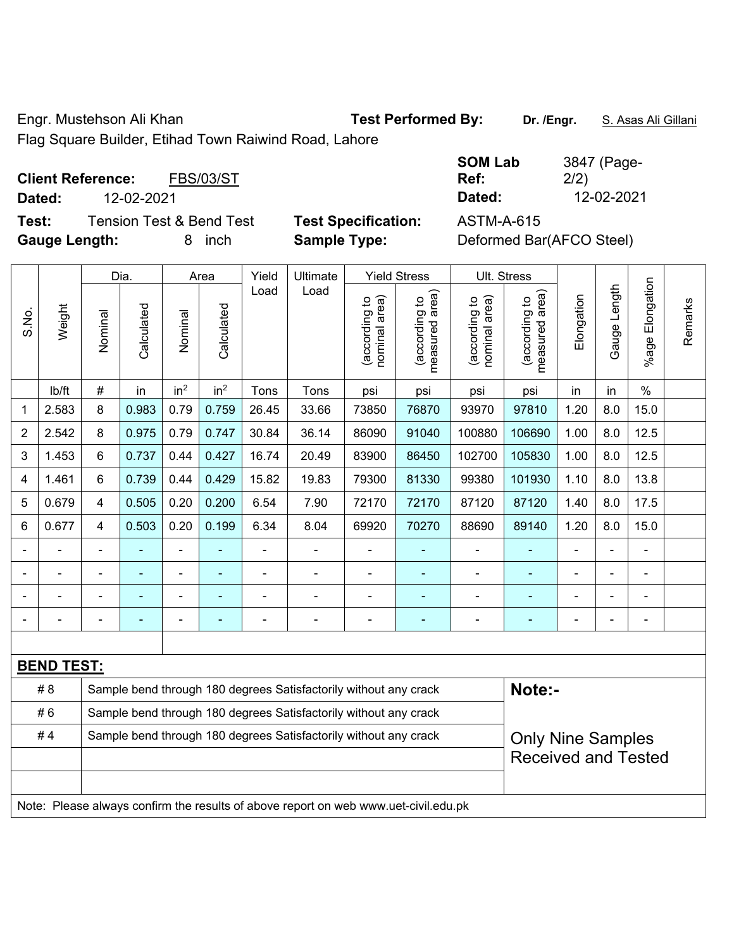Engr. Mustehson Ali Khan **Test Performed By: Dr. /Engr.** S. Asas Ali Gillani

Flag Square Builder, Etihad Town Raiwind Road, Lahore

**Client Reference:** FBS/03/ST **Dated:** 12-02-2021 **Dated:** 12-02-2021 **Test:** Tension Test & Bend Test **Test Specification:** ASTM-A-615

**SOM Lab Ref:**  3847 (Page-2/2)

**Gauge Length:** 8 inch **Sample Type:** Deformed Bar(AFCO Steel)

|                | Weight            |                                                                  | Dia.       |                 | Area                                                                                |       | Ultimate                                                         | <b>Yield Stress</b>            |                                 | Ult. Stress                    |                                 |            |                |                       |         |  |
|----------------|-------------------|------------------------------------------------------------------|------------|-----------------|-------------------------------------------------------------------------------------|-------|------------------------------------------------------------------|--------------------------------|---------------------------------|--------------------------------|---------------------------------|------------|----------------|-----------------------|---------|--|
| S.No.          |                   | Nominal                                                          | Calculated | Nominal         | Calculated                                                                          | Load  | Load                                                             | nominal area)<br>(according to | (according to<br>measured area) | nominal area)<br>(according to | (according to<br>measured area) | Elongation | Gauge Length   | Elongation<br>$%$ age | Remarks |  |
|                | lb/ft             | $\#$                                                             | in         | in <sup>2</sup> | in <sup>2</sup>                                                                     | Tons  | Tons                                                             | psi                            | psi                             | psi                            | psi                             | in         | in             | $\%$                  |         |  |
| 1              | 2.583             | $\,8\,$                                                          | 0.983      | 0.79            | 0.759                                                                               | 26.45 | 33.66                                                            | 73850                          | 76870                           | 93970                          | 97810                           | 1.20       | 8.0            | 15.0                  |         |  |
| $\overline{2}$ | 2.542             | 8                                                                | 0.975      | 0.79            | 0.747                                                                               | 30.84 | 36.14                                                            | 86090                          | 91040                           | 100880                         | 106690                          | 1.00       | 8.0            | 12.5                  |         |  |
| 3              | 1.453             | 6                                                                | 0.737      | 0.44            | 0.427                                                                               | 16.74 | 20.49                                                            | 83900                          | 86450                           | 102700                         | 105830                          | 1.00       | 8.0            | 12.5                  |         |  |
| 4              | 1.461             | 6                                                                | 0.739      | 0.44            | 0.429                                                                               | 15.82 | 19.83                                                            | 79300                          | 81330                           | 99380                          | 101930                          | 1.10       | 8.0            | 13.8                  |         |  |
| 5              | 0.679             | $\overline{4}$                                                   | 0.505      | 0.20            | 0.200                                                                               | 6.54  | 7.90                                                             | 72170                          | 72170                           | 87120                          | 87120                           | 1.40       | 8.0            | 17.5                  |         |  |
| 6              | 0.677             | $\overline{4}$                                                   | 0.503      | 0.20            | 0.199                                                                               | 6.34  | 8.04                                                             | 69920                          | 70270                           | 88690                          | 89140                           | 1.20       | 8.0            | 15.0                  |         |  |
|                |                   |                                                                  |            | L,              |                                                                                     |       |                                                                  | L,                             |                                 | $\blacksquare$                 |                                 |            |                | $\blacksquare$        |         |  |
|                |                   |                                                                  |            | ۰               |                                                                                     |       |                                                                  |                                |                                 |                                |                                 |            |                |                       |         |  |
|                |                   |                                                                  |            | ۰               |                                                                                     |       |                                                                  |                                |                                 | Ē,                             | $\overline{\phantom{0}}$        |            |                | Ē,                    |         |  |
|                |                   |                                                                  |            | $\blacksquare$  | $\overline{a}$                                                                      |       | $\blacksquare$                                                   | $\blacksquare$                 | ÷                               | $\overline{a}$                 |                                 |            | $\blacksquare$ | $\overline{a}$        |         |  |
|                |                   |                                                                  |            |                 |                                                                                     |       |                                                                  |                                |                                 |                                |                                 |            |                |                       |         |  |
|                | <b>BEND TEST:</b> |                                                                  |            |                 |                                                                                     |       |                                                                  |                                |                                 |                                |                                 |            |                |                       |         |  |
|                | # 8               |                                                                  |            |                 |                                                                                     |       | Sample bend through 180 degrees Satisfactorily without any crack |                                |                                 |                                | Note:-                          |            |                |                       |         |  |
|                | #6                |                                                                  |            |                 |                                                                                     |       | Sample bend through 180 degrees Satisfactorily without any crack |                                |                                 |                                |                                 |            |                |                       |         |  |
|                | #4                | Sample bend through 180 degrees Satisfactorily without any crack |            |                 |                                                                                     |       |                                                                  |                                |                                 |                                | <b>Only Nine Samples</b>        |            |                |                       |         |  |
|                |                   |                                                                  |            |                 |                                                                                     |       |                                                                  |                                | <b>Received and Tested</b>      |                                |                                 |            |                |                       |         |  |
|                |                   |                                                                  |            |                 |                                                                                     |       |                                                                  |                                |                                 |                                |                                 |            |                |                       |         |  |
|                |                   |                                                                  |            |                 | Note: Please always confirm the results of above report on web www.uet-civil.edu.pk |       |                                                                  |                                |                                 |                                |                                 |            |                |                       |         |  |